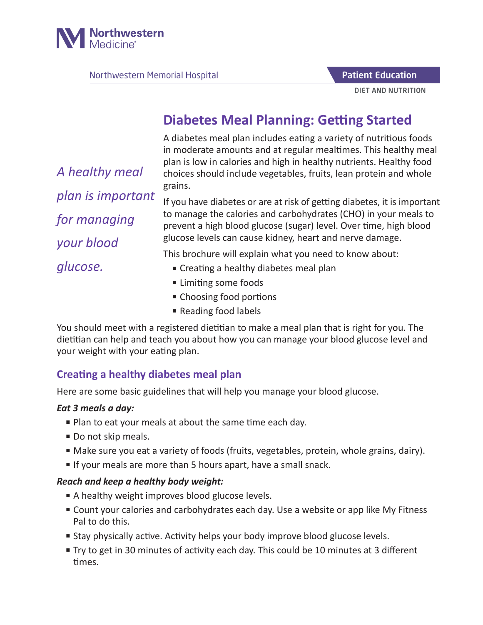

Northwestern Memorial Hospital

Patient Education

DIET AND NUTRITION

# **Diabetes Meal Planning: Getting Started**

A diabetes meal plan includes eating a variety of nutritious foods in moderate amounts and at regular mealtimes. This healthy meal plan is low in calories and high in healthy nutrients. Healthy food choices should include vegetables, fruits, lean protein and whole grains.

If you have diabetes or are at risk of getting diabetes, it is important to manage the calories and carbohydrates (CHO) in your meals to prevent a high blood glucose (sugar) level. Over time, high blood glucose levels can cause kidney, heart and nerve damage.

This brochure will explain what you need to know about:

- Creating a healthy diabetes meal plan
- Limiting some foods
- Choosing food portions
- Reading food labels

You should meet with a registered dietitian to make a meal plan that is right for you. The dietitian can help and teach you about how you can manage your blood glucose level and your weight with your eating plan.

### **Creating a healthy diabetes meal plan**

Here are some basic guidelines that will help you manage your blood glucose.

#### *Eat 3 meals a day:*

- Plan to eat your meals at about the same time each day.
- Do not skip meals.
- Make sure you eat a variety of foods (fruits, vegetables, protein, whole grains, dairy).
- If your meals are more than 5 hours apart, have a small snack.

#### *Reach and keep a healthy body weight:*

- A healthy weight improves blood glucose levels.
- Count your calories and carbohydrates each day. Use a website or app like My Fitness Pal to do this.
- Stay physically active. Activity helps your body improve blood glucose levels.
- Try to get in 30 minutes of activity each day. This could be 10 minutes at 3 different times.

*A healthy meal plan is important for managing your blood glucose.*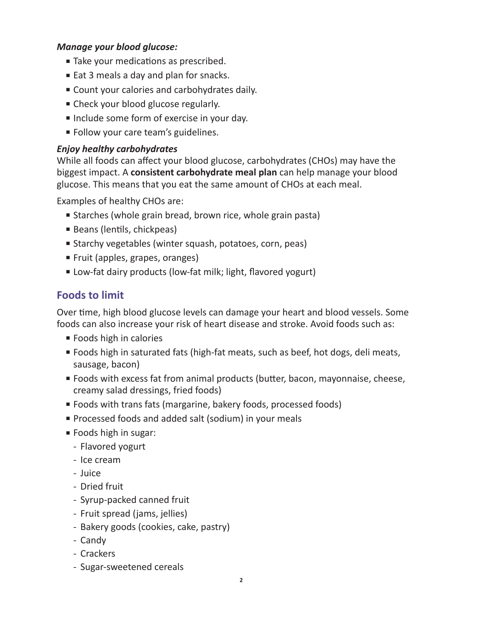#### *Manage your blood glucose:*

- Take your medications as prescribed.
- Eat 3 meals a day and plan for snacks.
- Count your calories and carbohydrates daily.
- Check your blood glucose regularly.
- Include some form of exercise in your day.
- Follow your care team's guidelines.

#### *Enjoy healthy carbohydrates*

While all foods can affect your blood glucose, carbohydrates (CHOs) may have the biggest impact. A **consistent carbohydrate meal plan** can help manage your blood glucose. This means that you eat the same amount of CHOs at each meal.

Examples of healthy CHOs are:

- Starches (whole grain bread, brown rice, whole grain pasta)
- Beans (lentils, chickpeas)
- Starchy vegetables (winter squash, potatoes, corn, peas)
- Fruit (apples, grapes, oranges)
- Low-fat dairy products (low-fat milk; light, flavored yogurt)

### **Foods to limit**

Over time, high blood glucose levels can damage your heart and blood vessels. Some foods can also increase your risk of heart disease and stroke. Avoid foods such as:

- Foods high in calories
- Foods high in saturated fats (high-fat meats, such as beef, hot dogs, deli meats, sausage, bacon)
- Foods with excess fat from animal products (butter, bacon, mayonnaise, cheese, creamy salad dressings, fried foods)
- Foods with trans fats (margarine, bakery foods, processed foods)
- Processed foods and added salt (sodium) in your meals
- Foods high in sugar:
	- Flavored yogurt
	- Ice cream
	- Juice
	- Dried fruit
	- Syrup-packed canned fruit
	- Fruit spread (jams, jellies)
	- Bakery goods (cookies, cake, pastry)
	- Candy
	- Crackers
	- Sugar-sweetened cereals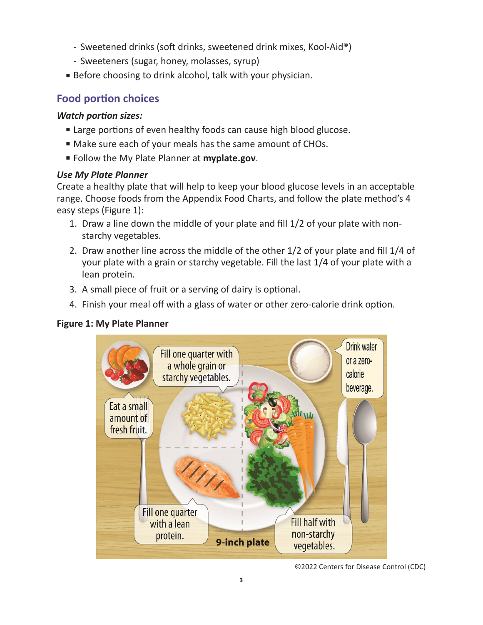- Sweetened drinks (soft drinks, sweetened drink mixes, Kool-Aid®)
- Sweeteners (sugar, honey, molasses, syrup)
- Before choosing to drink alcohol, talk with your physician.

### **Food portion choices**

#### *Watch portion sizes:*

- Large portions of even healthy foods can cause high blood glucose.
- Make sure each of your meals has the same amount of CHOs.
- Follow the My Plate Planner at **myplate.gov**.

#### *Use My Plate Planner*

Create a healthy plate that will help to keep your blood glucose levels in an acceptable range. Choose foods from the Appendix Food Charts, and follow the plate method's 4 easy steps (Figure 1):

- 1. Draw a line down the middle of your plate and fill 1/2 of your plate with nonstarchy vegetables.
- 2. Draw another line across the middle of the other 1/2 of your plate and fill 1/4 of your plate with a grain or starchy vegetable. Fill the last 1/4 of your plate with a lean protein.
- 3. A small piece of fruit or a serving of dairy is optional.
- 4. Finish your meal off with a glass of water or other zero-calorie drink option.

#### **Figure 1: My Plate Planner**



<sup>©2022</sup> Centers for Disease Control (CDC)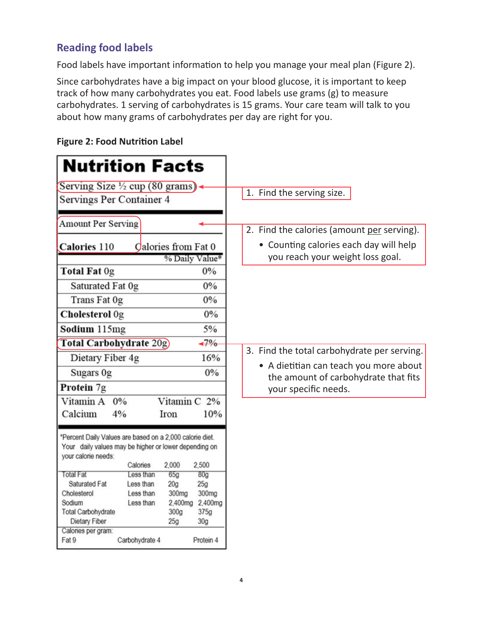## **Reading food labels**

Food labels have important information to help you manage your meal plan (Figure 2).

Since carbohydrates have a big impact on your blood glucose, it is important to keep track of how many carbohydrates you eat. Food labels use grams (g) to measure carbohydrates. 1 serving of carbohydrates is 15 grams. Your care team will talk to you about how many grams of carbohydrates per day are right for you.

| <b>Nutrition Facts</b>                                   |                        |                        |                 |                                                              |  |
|----------------------------------------------------------|------------------------|------------------------|-----------------|--------------------------------------------------------------|--|
| Serving Size 1/2 cup (80 grams)                          |                        |                        |                 |                                                              |  |
| Servings Per Container 4                                 |                        |                        |                 | 1. Find the serving size.                                    |  |
|                                                          |                        |                        |                 |                                                              |  |
| <b>Amount Per Serving</b>                                |                        |                        |                 |                                                              |  |
|                                                          |                        |                        |                 | 2. Find the calories (amount per serving).                   |  |
| Calories from Fat 0<br>Calories 110                      |                        |                        |                 | • Counting calories each day will help                       |  |
|                                                          |                        | % Daily Value*         |                 | you reach your weight loss goal.                             |  |
| Total Fat 0g                                             |                        |                        | $0\%$           |                                                              |  |
| Saturated Fat 0g                                         |                        |                        | 0%              |                                                              |  |
| Trans Fat 0g                                             |                        |                        | 0%              |                                                              |  |
| Cholesterol Og                                           |                        |                        | 0%              |                                                              |  |
| Sodium 115mg                                             |                        |                        | 5%              |                                                              |  |
| Total Carbohydrate 20g)                                  |                        |                        | $-7\%$          |                                                              |  |
| Dietary Fiber 4g                                         |                        |                        | 16%             | 3. Find the total carbohydrate per serving.                  |  |
| Sugars 0g                                                |                        |                        | 0%              | • A dietitian can teach you more about                       |  |
| Protein 7g                                               |                        |                        |                 | the amount of carbohydrate that fits<br>your specific needs. |  |
| Vitamin A                                                | 0%                     | Vitamin C 2%           |                 |                                                              |  |
|                                                          |                        |                        |                 |                                                              |  |
| Calcium                                                  | 4%                     | Iron                   | 10%             |                                                              |  |
| *Percent Daily Values are based on a 2,000 calorie diet. |                        |                        |                 |                                                              |  |
| Your daily values may be higher or lower depending on    |                        |                        |                 |                                                              |  |
| vour calorie needs:                                      |                        |                        |                 |                                                              |  |
|                                                          | Calories               | 2,000                  | 2,500           |                                                              |  |
| <b>Total Fat</b><br>Saturated Fat                        | Less than<br>Less than | 65g<br>20 <sub>g</sub> | 80g<br>25g      |                                                              |  |
| Cholesterol                                              | Less than              | 300mg                  | 300mg           |                                                              |  |
| Sodium                                                   | Less than              | 2,400mg                | 2,400mg         |                                                              |  |
| Total Carbohydrate                                       |                        | 300g                   | 375g            |                                                              |  |
| Dietary Fiber                                            |                        | 25g                    | 30 <sub>g</sub> |                                                              |  |
| Calories per gram:                                       |                        |                        |                 |                                                              |  |
| Fat 9                                                    | Carbohydrate 4         |                        | Protein 4       |                                                              |  |

#### **Figure 2: Food Nutrition Label**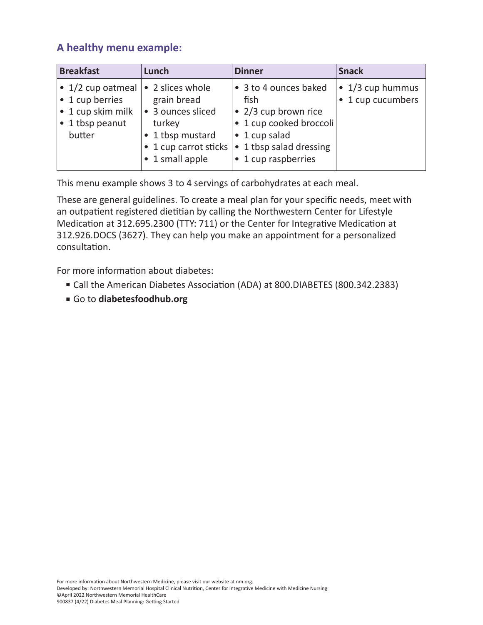# **A healthy menu example:**

| <b>Breakfast</b>                                                                               | Lunch                                                                                                                          | <b>Dinner</b>                                                                                                                                       | <b>Snack</b>                                  |
|------------------------------------------------------------------------------------------------|--------------------------------------------------------------------------------------------------------------------------------|-----------------------------------------------------------------------------------------------------------------------------------------------------|-----------------------------------------------|
| $\bullet$ 1/2 cup oatmeal<br>• 1 cup berries<br>• 1 cup skim milk<br>• 1 tbsp peanut<br>butter | • 2 slices whole<br>grain bread<br>• 3 ounces sliced<br>turkey<br>• 1 tbsp mustard<br>• 1 cup carrot sticks<br>• 1 small apple | • 3 to 4 ounces baked<br>fish<br>• 2/3 cup brown rice<br>· 1 cup cooked broccoli<br>• 1 cup salad<br>• 1 tbsp salad dressing<br>• 1 cup raspberries | $\bullet$ 1/3 cup hummus<br>• 1 cup cucumbers |

This menu example shows 3 to 4 servings of carbohydrates at each meal.

These are general guidelines. To create a meal plan for your specific needs, meet with an outpatient registered dietitian by calling the Northwestern Center for Lifestyle Medication at 312.695.2300 (TTY: 711) or the Center for Integrative Medication at 312.926.DOCS (3627). They can help you make an appointment for a personalized consultation.

For more information about diabetes:

- Call the American Diabetes Association (ADA) at 800.DIABETES (800.342.2383)
- Go to **diabetesfoodhub.org**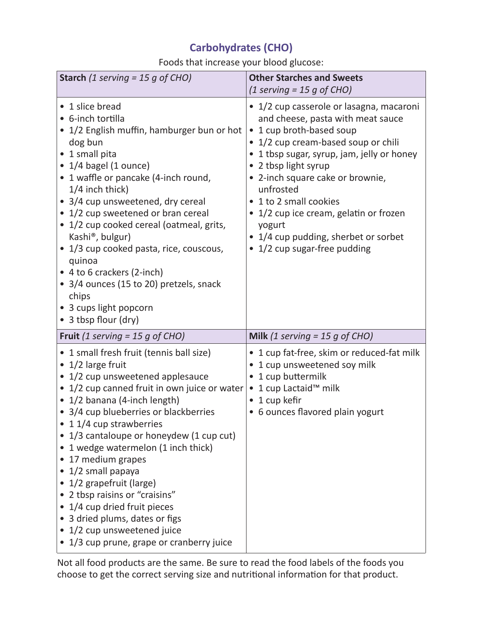# **Carbohydrates (CHO)**

Foods that increase your blood glucose:

| <b>Starch</b> (1 serving = 15 g of CHO)                                                                                                                                                                                                                                                                                                                                                                                                                                                                                                                                                                  | <b>Other Starches and Sweets</b><br>$(1$ serving = 15 g of CHO)                                                                                                                                                                                                                                                                                                                                                     |
|----------------------------------------------------------------------------------------------------------------------------------------------------------------------------------------------------------------------------------------------------------------------------------------------------------------------------------------------------------------------------------------------------------------------------------------------------------------------------------------------------------------------------------------------------------------------------------------------------------|---------------------------------------------------------------------------------------------------------------------------------------------------------------------------------------------------------------------------------------------------------------------------------------------------------------------------------------------------------------------------------------------------------------------|
| • 1 slice bread<br>• 6-inch tortilla<br>• 1/2 English muffin, hamburger bun or hot<br>dog bun<br>• 1 small pita<br>$\bullet$ 1/4 bagel (1 ounce)<br>• 1 waffle or pancake (4-inch round,<br>$1/4$ inch thick)<br>• 3/4 cup unsweetened, dry cereal<br>• 1/2 cup sweetened or bran cereal<br>• 1/2 cup cooked cereal (oatmeal, grits,<br>Kashi®, bulgur)<br>• 1/3 cup cooked pasta, rice, couscous,<br>quinoa<br>• 4 to 6 crackers (2-inch)<br>• 3/4 ounces (15 to 20) pretzels, snack<br>chips<br>• 3 cups light popcorn<br>• 3 tbsp flour (dry)                                                         | • 1/2 cup casserole or lasagna, macaroni<br>and cheese, pasta with meat sauce<br>1 cup broth-based soup<br>1/2 cup cream-based soup or chili<br>1 tbsp sugar, syrup, jam, jelly or honey<br>• 2 tbsp light syrup<br>2-inch square cake or brownie,<br>unfrosted<br>• 1 to 2 small cookies<br>• 1/2 cup ice cream, gelatin or frozen<br>yogurt<br>1/4 cup pudding, sherbet or sorbet<br>• 1/2 cup sugar-free pudding |
| <b>Fruit</b> (1 serving = 15 g of CHO)                                                                                                                                                                                                                                                                                                                                                                                                                                                                                                                                                                   | Milk (1 serving = 15 g of CHO)                                                                                                                                                                                                                                                                                                                                                                                      |
| • 1 small fresh fruit (tennis ball size)<br>$\bullet$ 1/2 large fruit<br>• 1/2 cup unsweetened applesauce<br>• 1/2 cup canned fruit in own juice or water<br>• 1/2 banana (4-inch length)<br>• 3/4 cup blueberries or blackberries<br>• 1 1/4 cup strawberries<br>• 1/3 cantaloupe or honeydew (1 cup cut)<br>1 wedge watermelon (1 inch thick)<br>17 medium grapes<br>1/2 small papaya<br>$\bullet$<br>1/2 grapefruit (large)<br>2 tbsp raisins or "craisins"<br>• 1/4 cup dried fruit pieces<br>3 dried plums, dates or figs<br>1/2 cup unsweetened juice<br>• 1/3 cup prune, grape or cranberry juice | • 1 cup fat-free, skim or reduced-fat milk<br>1 cup unsweetened soy milk<br>1 cup buttermilk<br>1 cup Lactaid™ milk<br>$\bullet$<br>1 cup kefir<br>6 ounces flavored plain yogurt<br>$\bullet$                                                                                                                                                                                                                      |

Not all food products are the same. Be sure to read the food labels of the foods you choose to get the correct serving size and nutritional information for that product.